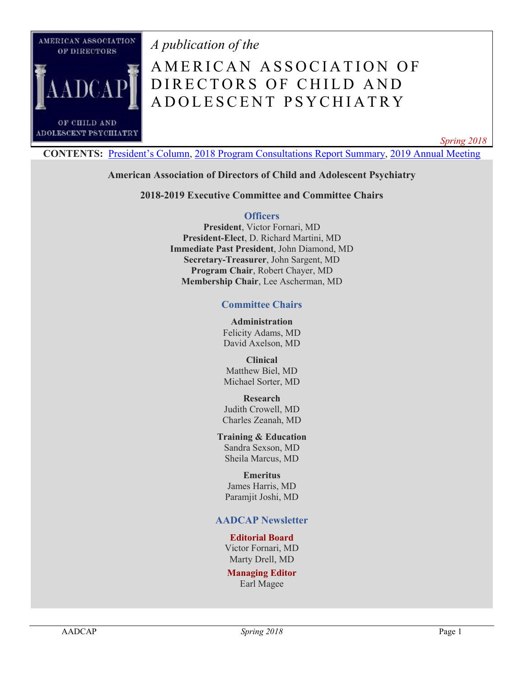

*A publication of the*

# A MERICAN ASSOCIATION OF DIRECTORS OF CHILD AND A D O L E S C E N T P S Y C H I A T R Y

*Spring 2018*

**CONTENTS:** [President's Column](#page-1-0), [2018 Program Consultations Report Summary,](#page-3-0) [2019 Annual Meeting](#page-8-0)

#### **American Association of Directors of Child and Adolescent Psychiatry**

**2018-2019 Executive Committee and Committee Chairs**

#### **Officers**

**President**, Victor Fornari, MD **President-Elect**, D. Richard Martini, MD **Immediate Past President**, John Diamond, MD **Secretary-Treasurer**, John Sargent, MD **Program Chair**, Robert Chayer, MD **Membership Chair**, Lee Ascherman, MD

#### **Committee Chairs**

**Administration** Felicity Adams, MD David Axelson, MD

**Clinical** Matthew Biel, MD Michael Sorter, MD

### **Research**

Judith Crowell, MD Charles Zeanah, MD

#### **Training & Education** Sandra Sexson, MD

Sheila Marcus, MD

#### **Emeritus** James Harris, MD Paramjit Joshi, MD

#### **AADCAP Newsletter**

#### **Editorial Board**

Victor Fornari, MD Marty Drell, MD

#### **Managing Editor**

Earl Magee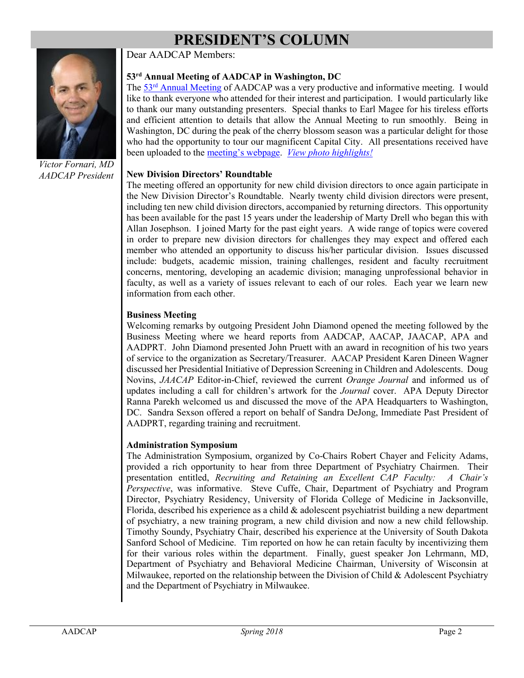## **PRESIDENT'S COLUMN**

Dear AADCAP Members:

<span id="page-1-0"></span>

*Victor Fornari, MD AADCAP President*

#### **53rd Annual Meeting of AADCAP in Washington, DC**

The 53rd [Annual Meeting](http://www.aadcap.org/2018_annual_meeting.aspx) of AADCAP was a very productive and informative meeting. I would like to thank everyone who attended for their interest and participation. I would particularly like to thank our many outstanding presenters. Special thanks to Earl Magee for his tireless efforts and efficient attention to details that allow the Annual Meeting to run smoothly. Being in Washington, DC during the peak of the cherry blossom season was a particular delight for those who had the opportunity to tour our magnificent Capital City. All presentations received have been uploaded to the [meeting's webpage](http://www.aadcap.org/2018_annual_meeting.aspx). *[View photo highlights!](http://www.aadcap.org/photo_gallery.aspx)*

#### **New Division Directors' Roundtable**

The meeting offered an opportunity for new child division directors to once again participate in the New Division Director's Roundtable. Nearly twenty child division directors were present, including ten new child division directors, accompanied by returning directors. This opportunity has been available for the past 15 years under the leadership of Marty Drell who began this with Allan Josephson. I joined Marty for the past eight years. A wide range of topics were covered in order to prepare new division directors for challenges they may expect and offered each member who attended an opportunity to discuss his/her particular division. Issues discussed include: budgets, academic mission, training challenges, resident and faculty recruitment concerns, mentoring, developing an academic division; managing unprofessional behavior in faculty, as well as a variety of issues relevant to each of our roles. Each year we learn new information from each other.

#### **Business Meeting**

Welcoming remarks by outgoing President John Diamond opened the meeting followed by the Business Meeting where we heard reports from AADCAP, AACAP, JAACAP, APA and AADPRT. John Diamond presented John Pruett with an award in recognition of his two years of service to the organization as Secretary/Treasurer. AACAP President Karen Dineen Wagner discussed her Presidential Initiative of Depression Screening in Children and Adolescents. Doug Novins, *JAACAP* Editor-in-Chief, reviewed the current *Orange Journal* and informed us of updates including a call for children's artwork for the *Journal* cover. APA Deputy Director Ranna Parekh welcomed us and discussed the move of the APA Headquarters to Washington, DC. Sandra Sexson offered a report on behalf of Sandra DeJong, Immediate Past President of AADPRT, regarding training and recruitment.

#### **Administration Symposium**

The Administration Symposium, organized by Co-Chairs Robert Chayer and Felicity Adams, provided a rich opportunity to hear from three Department of Psychiatry Chairmen. Their presentation entitled, *Recruiting and Retaining an Excellent CAP Faculty: A Chair's Perspective*, was informative. Steve Cuffe, Chair, Department of Psychiatry and Program Director, Psychiatry Residency, University of Florida College of Medicine in Jacksonville, Florida, described his experience as a child & adolescent psychiatrist building a new department of psychiatry, a new training program, a new child division and now a new child fellowship. Timothy Soundy, Psychiatry Chair, described his experience at the University of South Dakota Sanford School of Medicine. Tim reported on how he can retain faculty by incentivizing them for their various roles within the department. Finally, guest speaker Jon Lehrmann, MD, Department of Psychiatry and Behavioral Medicine Chairman, University of Wisconsin at Milwaukee, reported on the relationship between the Division of Child & Adolescent Psychiatry and the Department of Psychiatry in Milwaukee.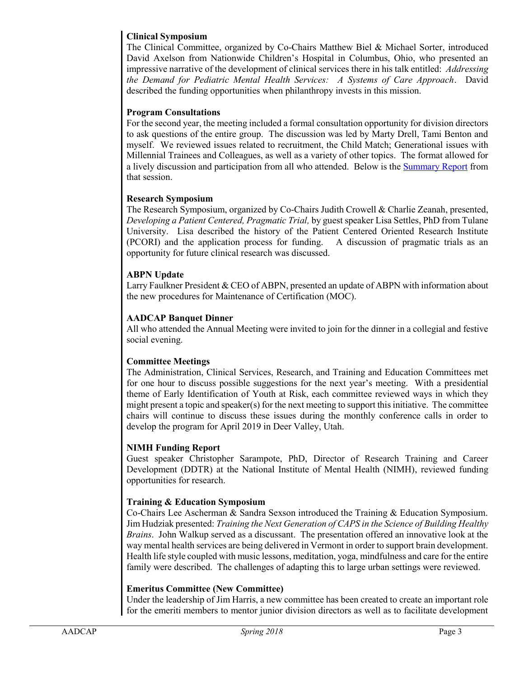#### **Clinical Symposium**

The Clinical Committee, organized by Co-Chairs Matthew Biel & Michael Sorter, introduced David Axelson from Nationwide Children's Hospital in Columbus, Ohio, who presented an impressive narrative of the development of clinical services there in his talk entitled: *Addressing the Demand for Pediatric Mental Health Services: A Systems of Care Approach*. David described the funding opportunities when philanthropy invests in this mission.

#### **Program Consultations**

For the second year, the meeting included a formal consultation opportunity for division directors to ask questions of the entire group. The discussion was led by Marty Drell, Tami Benton and myself. We reviewed issues related to recruitment, the Child Match; Generational issues with Millennial Trainees and Colleagues, as well as a variety of other topics. The format allowed for a lively discussion and participation from all who attended. Below is the [Summary Report](#page-3-0) from that session.

#### **Research Symposium**

The Research Symposium, organized by Co-Chairs Judith Crowell & Charlie Zeanah, presented, *Developing a Patient Centered, Pragmatic Trial,* by guest speaker Lisa Settles, PhD from Tulane University. Lisa described the history of the Patient Centered Oriented Research Institute (PCORI) and the application process for funding. A discussion of pragmatic trials as an opportunity for future clinical research was discussed.

#### **ABPN Update**

Larry Faulkner President & CEO of ABPN, presented an update of ABPN with information about the new procedures for Maintenance of Certification (MOC).

#### **AADCAP Banquet Dinner**

All who attended the Annual Meeting were invited to join for the dinner in a collegial and festive social evening.

#### **Committee Meetings**

The Administration, Clinical Services, Research, and Training and Education Committees met for one hour to discuss possible suggestions for the next year's meeting. With a presidential theme of Early Identification of Youth at Risk, each committee reviewed ways in which they might present a topic and speaker(s) for the next meeting to support this initiative. The committee chairs will continue to discuss these issues during the monthly conference calls in order to develop the program for April 2019 in Deer Valley, Utah.

#### **NIMH Funding Report**

Guest speaker Christopher Sarampote, PhD, Director of Research Training and Career Development (DDTR) at the National Institute of Mental Health (NIMH), reviewed funding opportunities for research.

#### **Training & Education Symposium**

Co-Chairs Lee Ascherman & Sandra Sexson introduced the Training & Education Symposium. Jim Hudziak presented: *Training the Next Generation of CAPS in the Science of Building Healthy Brains*. John Walkup served as a discussant. The presentation offered an innovative look at the way mental health services are being delivered in Vermont in order to support brain development. Health life style coupled with music lessons, meditation, yoga, mindfulness and care for the entire family were described. The challenges of adapting this to large urban settings were reviewed.

#### **Emeritus Committee (New Committee)**

Under the leadership of Jim Harris, a new committee has been created to create an important role for the emeriti members to mentor junior division directors as well as to facilitate development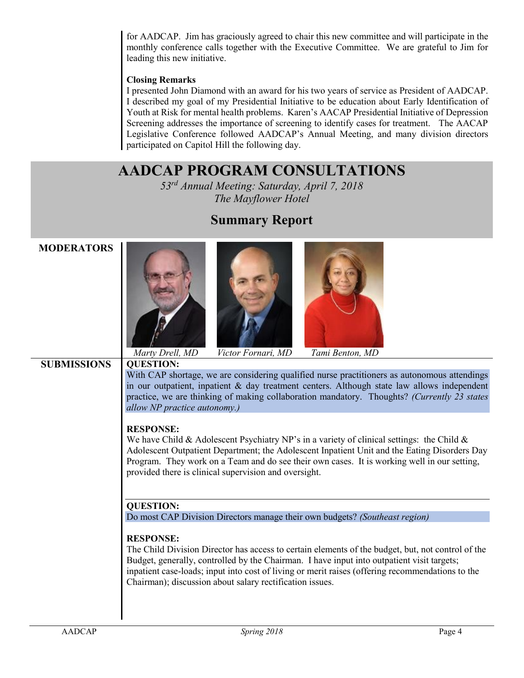for AADCAP. Jim has graciously agreed to chair this new committee and will participate in the monthly conference calls together with the Executive Committee. We are grateful to Jim for leading this new initiative.

#### **Closing Remarks**

I presented John Diamond with an award for his two years of service as President of AADCAP. I described my goal of my Presidential Initiative to be education about Early Identification of Youth at Risk for mental health problems. Karen's AACAP Presidential Initiative of Depression Screening addresses the importance of screening to identify cases for treatment. The AACAP Legislative Conference followed AADCAP's Annual Meeting, and many division directors participated on Capitol Hill the following day.

### **AADCAP PROGRAM CONSULTATIONS**

*53rd Annual Meeting: Saturday, April 7, 2018 The Mayflower Hotel*

<span id="page-3-0"></span>

| <b>MODERATORS</b>  | Marty Drell, MD<br>Victor Fornari, MD<br>Tami Benton, MD                                                                                                                                                                                                                                                                                                                            |
|--------------------|-------------------------------------------------------------------------------------------------------------------------------------------------------------------------------------------------------------------------------------------------------------------------------------------------------------------------------------------------------------------------------------|
| <b>SUBMISSIONS</b> | <b>QUESTION:</b>                                                                                                                                                                                                                                                                                                                                                                    |
|                    | With CAP shortage, we are considering qualified nurse practitioners as autonomous attendings<br>in our outpatient, inpatient & day treatment centers. Although state law allows independent<br>practice, we are thinking of making collaboration mandatory. Thoughts? (Currently 23 states<br>allow NP practice autonomy.)                                                          |
|                    | <b>RESPONSE:</b><br>We have Child & Adolescent Psychiatry NP's in a variety of clinical settings: the Child &<br>Adolescent Outpatient Department; the Adolescent Inpatient Unit and the Eating Disorders Day<br>Program. They work on a Team and do see their own cases. It is working well in our setting,<br>provided there is clinical supervision and oversight.               |
|                    | <b>QUESTION:</b>                                                                                                                                                                                                                                                                                                                                                                    |
|                    | Do most CAP Division Directors manage their own budgets? (Southeast region)                                                                                                                                                                                                                                                                                                         |
|                    | <b>RESPONSE:</b><br>The Child Division Director has access to certain elements of the budget, but, not control of the<br>Budget, generally, controlled by the Chairman. I have input into outpatient visit targets;<br>inpatient case-loads; input into cost of living or merit raises (offering recommendations to the<br>Chairman); discussion about salary rectification issues. |

### **Summary Report**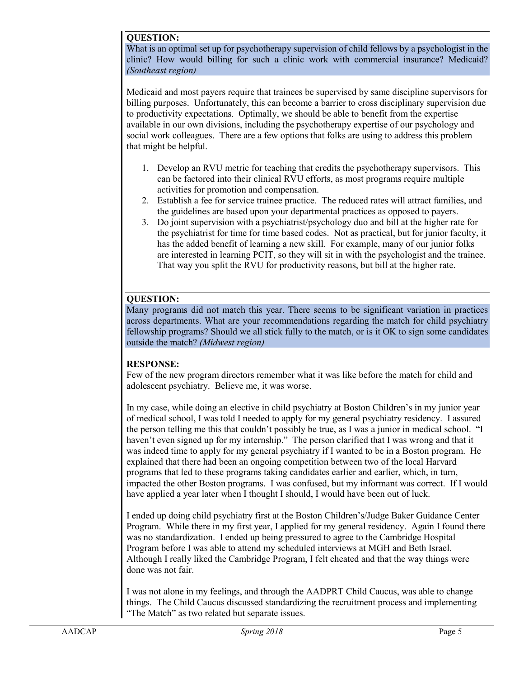#### **QUESTION:**

What is an optimal set up for psychotherapy supervision of child fellows by a psychologist in the clinic? How would billing for such a clinic work with commercial insurance? Medicaid? *(Southeast region)*

Medicaid and most payers require that trainees be supervised by same discipline supervisors for billing purposes. Unfortunately, this can become a barrier to cross disciplinary supervision due to productivity expectations. Optimally, we should be able to benefit from the expertise available in our own divisions, including the psychotherapy expertise of our psychology and social work colleagues. There are a few options that folks are using to address this problem that might be helpful.

- 1. Develop an RVU metric for teaching that credits the psychotherapy supervisors. This can be factored into their clinical RVU efforts, as most programs require multiple activities for promotion and compensation.
- 2. Establish a fee for service trainee practice. The reduced rates will attract families, and the guidelines are based upon your departmental practices as opposed to payers.
- 3. Do joint supervision with a psychiatrist/psychology duo and bill at the higher rate for the psychiatrist for time for time based codes. Not as practical, but for junior faculty, it has the added benefit of learning a new skill. For example, many of our junior folks are interested in learning PCIT, so they will sit in with the psychologist and the trainee. That way you split the RVU for productivity reasons, but bill at the higher rate.

#### **QUESTION:**

Many programs did not match this year. There seems to be significant variation in practices across departments. What are your recommendations regarding the match for child psychiatry fellowship programs? Should we all stick fully to the match, or is it OK to sign some candidates outside the match? *(Midwest region)*

#### **RESPONSE:**

Few of the new program directors remember what it was like before the match for child and adolescent psychiatry. Believe me, it was worse.

In my case, while doing an elective in child psychiatry at Boston Children's in my junior year of medical school, I was told I needed to apply for my general psychiatry residency. I assured the person telling me this that couldn't possibly be true, as I was a junior in medical school. "I haven't even signed up for my internship." The person clarified that I was wrong and that it was indeed time to apply for my general psychiatry if I wanted to be in a Boston program. He explained that there had been an ongoing competition between two of the local Harvard programs that led to these programs taking candidates earlier and earlier, which, in turn, impacted the other Boston programs. I was confused, but my informant was correct. If I would have applied a year later when I thought I should, I would have been out of luck.

I ended up doing child psychiatry first at the Boston Children's/Judge Baker Guidance Center Program. While there in my first year, I applied for my general residency. Again I found there was no standardization. I ended up being pressured to agree to the Cambridge Hospital Program before I was able to attend my scheduled interviews at MGH and Beth Israel. Although I really liked the Cambridge Program, I felt cheated and that the way things were done was not fair.

I was not alone in my feelings, and through the AADPRT Child Caucus, was able to change things. The Child Caucus discussed standardizing the recruitment process and implementing "The Match" as two related but separate issues.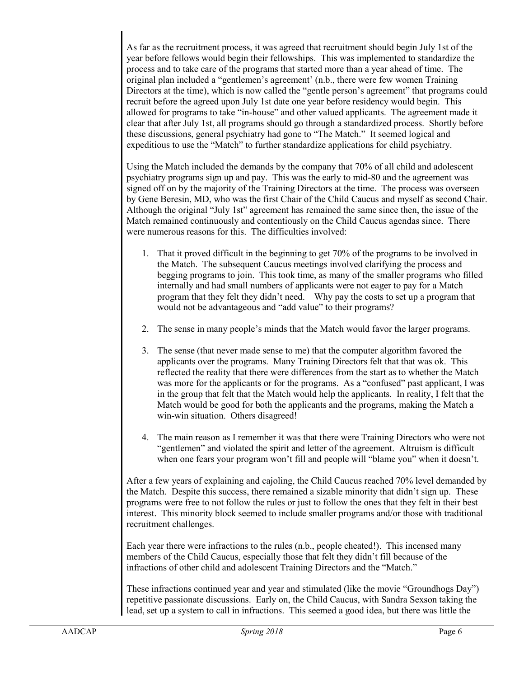As far as the recruitment process, it was agreed that recruitment should begin July 1st of the year before fellows would begin their fellowships. This was implemented to standardize the process and to take care of the programs that started more than a year ahead of time. The original plan included a "gentlemen's agreement' (n.b., there were few women Training Directors at the time), which is now called the "gentle person's agreement" that programs could recruit before the agreed upon July 1st date one year before residency would begin. This allowed for programs to take "in-house" and other valued applicants. The agreement made it clear that after July 1st, all programs should go through a standardized process. Shortly before these discussions, general psychiatry had gone to "The Match." It seemed logical and expeditious to use the "Match" to further standardize applications for child psychiatry.

Using the Match included the demands by the company that 70% of all child and adolescent psychiatry programs sign up and pay. This was the early to mid-80 and the agreement was signed off on by the majority of the Training Directors at the time. The process was overseen by Gene Beresin, MD, who was the first Chair of the Child Caucus and myself as second Chair. Although the original "July 1st" agreement has remained the same since then, the issue of the Match remained continuously and contentiously on the Child Caucus agendas since. There were numerous reasons for this. The difficulties involved:

- 1. That it proved difficult in the beginning to get 70% of the programs to be involved in the Match. The subsequent Caucus meetings involved clarifying the process and begging programs to join. This took time, as many of the smaller programs who filled internally and had small numbers of applicants were not eager to pay for a Match program that they felt they didn't need. Why pay the costs to set up a program that would not be advantageous and "add value" to their programs?
- 2. The sense in many people's minds that the Match would favor the larger programs.
- 3. The sense (that never made sense to me) that the computer algorithm favored the applicants over the programs. Many Training Directors felt that that was ok. This reflected the reality that there were differences from the start as to whether the Match was more for the applicants or for the programs. As a "confused" past applicant, I was in the group that felt that the Match would help the applicants. In reality, I felt that the Match would be good for both the applicants and the programs, making the Match a win-win situation. Others disagreed!
- 4. The main reason as I remember it was that there were Training Directors who were not "gentlemen" and violated the spirit and letter of the agreement. Altruism is difficult when one fears your program won't fill and people will "blame you" when it doesn't.

After a few years of explaining and cajoling, the Child Caucus reached 70% level demanded by the Match. Despite this success, there remained a sizable minority that didn't sign up. These programs were free to not follow the rules or just to follow the ones that they felt in their best interest. This minority block seemed to include smaller programs and/or those with traditional recruitment challenges.

Each year there were infractions to the rules (n.b., people cheated!). This incensed many members of the Child Caucus, especially those that felt they didn't fill because of the infractions of other child and adolescent Training Directors and the "Match."

These infractions continued year and year and stimulated (like the movie "Groundhogs Day") repetitive passionate discussions. Early on, the Child Caucus, with Sandra Sexson taking the lead, set up a system to call in infractions. This seemed a good idea, but there was little the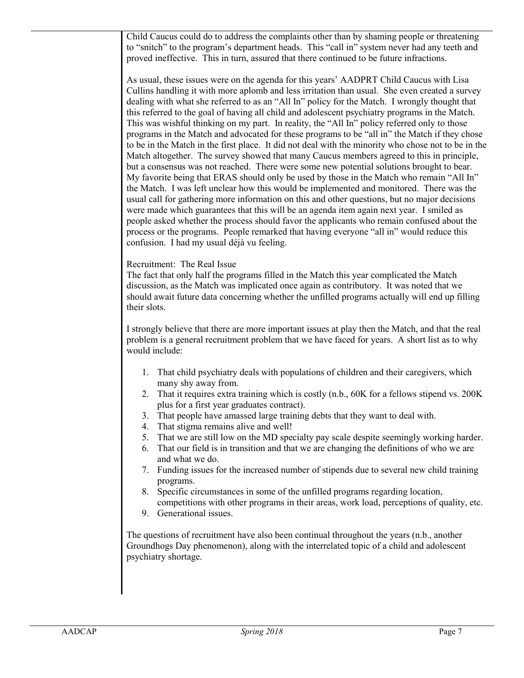Child Caucus could do to address the complaints other than by shaming people or threatening to "snitch" to the program's department heads. This "call in" system never had any teeth and proved ineffective. This in turn, assured that there continued to be future infractions.

As usual, these issues were on the agenda for this years' AADPRT Child Caucus with Lisa Cullins handling it with more aplomb and less irritation than usual. She even created a survey dealing with what she referred to as an "All In" policy for the Match. I wrongly thought that this referred to the goal of having all child and adolescent psychiatry programs in the Match. This was wishful thinking on my part. In reality, the "All In" policy referred only to those programs in the Match and advocated for these programs to be "all in" the Match if they chose to be in the Match in the first place. It did not deal with the minority who chose not to be in the Match altogether. The survey showed that many Caucus members agreed to this in principle, but a consensus was not reached. There were some new potential solutions brought to bear. My favorite being that ERAS should only be used by those in the Match who remain "All In" the Match. I was left unclear how this would be implemented and monitored. There was the usual call for gathering more information on this and other questions, but no major decisions were made which guarantees that this will be an agenda item again next year. I smiled as people asked whether the process should favor the applicants who remain confused about the process or the programs. People remarked that having everyone "all in" would reduce this confusion. I had my usual déjà vu feeling.

#### Recruitment: The Real Issue

The fact that only half the programs filled in the Match this year complicated the Match discussion, as the Match was implicated once again as contributory. It was noted that we should await future data concerning whether the unfilled programs actually will end up filling their slots.

I strongly believe that there are more important issues at play then the Match, and that the real problem is a general recruitment problem that we have faced for years. A short list as to why would include:

- 1. That child psychiatry deals with populations of children and their caregivers, which many shy away from.
- 2. That it requires extra training which is costly (n.b., 60K for a fellows stipend vs. 200K plus for a first year graduates contract).
- 3. That people have amassed large training debts that they want to deal with.
- 4. That stigma remains alive and well!
- 5. That we are still low on the MD specialty pay scale despite seemingly working harder.
- 6. That our field is in transition and that we are changing the definitions of who we are and what we do.
- 7. Funding issues for the increased number of stipends due to several new child training programs.
- 8. Specific circumstances in some of the unfilled programs regarding location, competitions with other programs in their areas, work load, perceptions of quality, etc.
- 9. Generational issues.

The questions of recruitment have also been continual throughout the years (n.b., another Groundhogs Day phenomenon), along with the interrelated topic of a child and adolescent psychiatry shortage.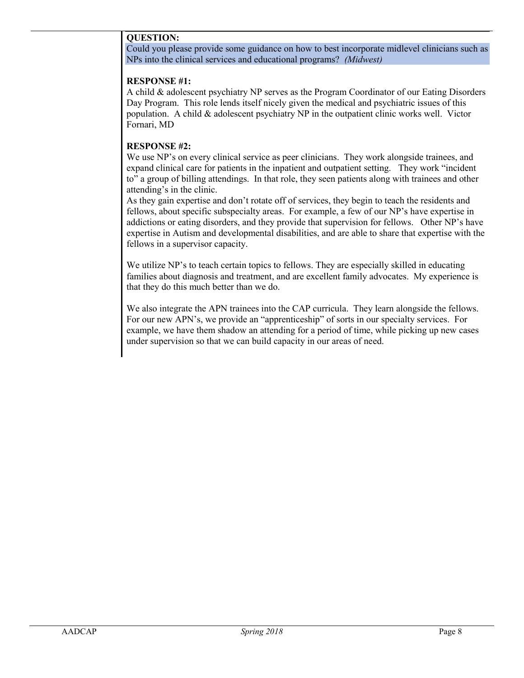#### **QUESTION:**

Could you please provide some guidance on how to best incorporate midlevel clinicians such as NPs into the clinical services and educational programs? *(Midwest)*

#### **RESPONSE #1:**

A child & adolescent psychiatry NP serves as the Program Coordinator of our Eating Disorders Day Program. This role lends itself nicely given the medical and psychiatric issues of this population. A child  $\&$  adolescent psychiatry NP in the outpatient clinic works well. Victor Fornari, MD

#### **RESPONSE #2:**

We use NP's on every clinical service as peer clinicians. They work alongside trainees, and expand clinical care for patients in the inpatient and outpatient setting. They work "incident to" a group of billing attendings. In that role, they seen patients along with trainees and other attending's in the clinic.

As they gain expertise and don't rotate off of services, they begin to teach the residents and fellows, about specific subspecialty areas. For example, a few of our NP's have expertise in addictions or eating disorders, and they provide that supervision for fellows. Other NP's have expertise in Autism and developmental disabilities, and are able to share that expertise with the fellows in a supervisor capacity.

We utilize NP's to teach certain topics to fellows. They are especially skilled in educating families about diagnosis and treatment, and are excellent family advocates. My experience is that they do this much better than we do.

We also integrate the APN trainees into the CAP curricula. They learn alongside the fellows. For our new APN's, we provide an "apprenticeship" of sorts in our specialty services. For example, we have them shadow an attending for a period of time, while picking up new cases under supervision so that we can build capacity in our areas of need.